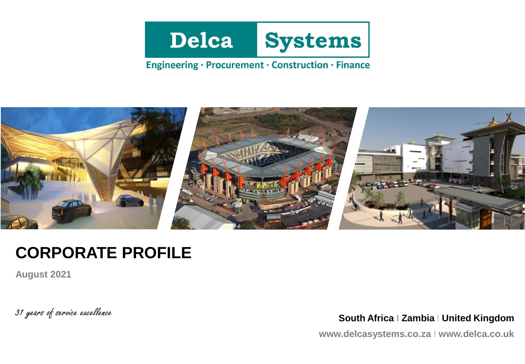

## Engineering · Procurement · Construction · Finance



# **CORPORATE PROFILE**

**August 2021**

31 years of service excellence **South Africa I Zambia <sup>I</sup> United Kingdom**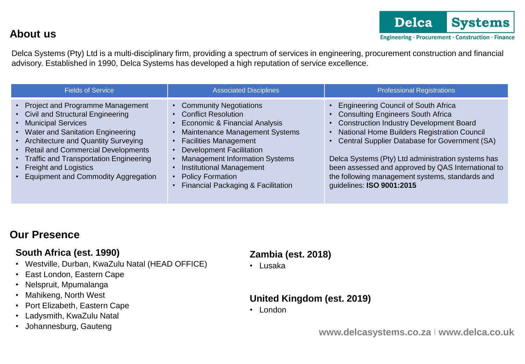**About us**

Delca Systems (Pty) Ltd is a multi-disciplinary firm, providing a spectrum of services in engineering, procurement construction and financial advisory. Established in 1990, Delca Systems has developed a high reputation of service excellence.

| <b>Fields of Service</b>                                                                                                                                                                                                                                                                                                                | <b>Associated Disciplines</b>                                                                                                                                                                                                                                                                                                             | <b>Professional Registrations</b>                                                                                                                                                                                                                                                                                                                                                                                                    |
|-----------------------------------------------------------------------------------------------------------------------------------------------------------------------------------------------------------------------------------------------------------------------------------------------------------------------------------------|-------------------------------------------------------------------------------------------------------------------------------------------------------------------------------------------------------------------------------------------------------------------------------------------------------------------------------------------|--------------------------------------------------------------------------------------------------------------------------------------------------------------------------------------------------------------------------------------------------------------------------------------------------------------------------------------------------------------------------------------------------------------------------------------|
| • Project and Programme Management<br>• Civil and Structural Engineering<br>• Municipal Services<br>• Water and Sanitation Engineering<br>• Architecture and Quantity Surveying<br>• Retail and Commercial Developments<br>• Traffic and Transportation Engineering<br>• Freight and Logistics<br>• Equipment and Commodity Aggregation | • Community Negotiations<br><b>Conflict Resolution</b><br>Economic & Financial Analysis<br>Maintenance Management Systems<br><b>Facilities Management</b><br><b>Development Facilitation</b><br><b>Management Information Systems</b><br><b>Institutional Management</b><br><b>Policy Formation</b><br>Financial Packaging & Facilitation | <b>Engineering Council of South Africa</b><br><b>Consulting Engineers South Africa</b><br><b>Construction Industry Development Board</b><br>National Home Builders Registration Council<br>Central Supplier Database for Government (SA)<br>Delca Systems (Pty) Ltd administration systems has<br>been assessed and approved by QAS International to<br>the following management systems, standards and<br>guidelines: ISO 9001:2015 |

## **Our Presence**

### **South Africa (est. 1990)**

- Westville, Durban, KwaZulu Natal (HEAD OFFICE)
- East London, Eastern Cape
- Nelspruit, Mpumalanga
- Mahikeng, North West
- Port Elizabeth, Eastern Cape
- Ladysmith, KwaZulu Natal
- Johannesburg, Gauteng

## **Zambia (est. 2018)**

• Lusaka

### **United Kingdom (est. 2019)**

• London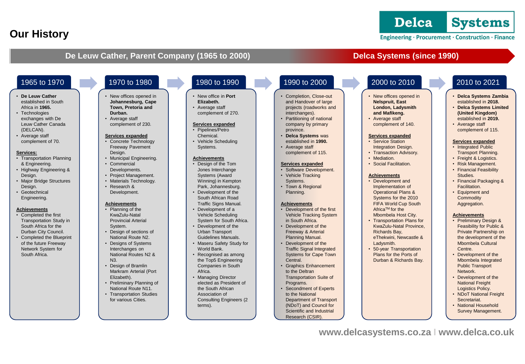# **Our History**

Engineering · Procurement · Construction · Finance

### **De Leuw Cather, Parent Company (1965 to 2000)** Delca Systems (since 1990)

- **De Leuw Cather**  established in South Africa in **1965.**
- Technologies exchanges with De Leuw Cather Canada (DELCAN).
- Average staff complement of 70.

#### **Services:**

- Transportation Planning & Engineering.
- Highway Engineering & Design.
- Major Bridge Structures Design.
- Geotechnical Engineering.

#### **Achievements**

- Completed the first Transportation Study in South Africa for the Durban City Council.
- Completed the Blueprint of the future Freeway Network System for South Africa.

### 1965 to 1970 1970 to 1980 1980 to 1990 1990 to 2000 2000 to 2010 2010 to 2021

#### • New offices opened in **Johannesburg, Cape Town, Pretoria and Durban.**

• Average staff complement of 230.

#### **Services expanded**

- Concrete Technology Freeway Pavement Design.
- Municipal Engineering.
- Commercial Developments.
- Project Management.
- Materials Technology.
- Research & Development.

#### **Achievements**

- Planning of the KwaZulu-Natal Provincial Arterial System. • Design of sections of
- National Route N2.
- Designs of Systems Interchanges on National Routes N2 &  $N<sub>3</sub>$
- Design of Bramlin Markram Arterial (Port Elizabeth).
- Preliminary Planning of National Route N11.
- Transportation Studies for various Cities.

#### • New office in **Port Elizabeth.**

• Average staff complement of 270.

#### **Services expanded**

- Pipelines/Petro Chemical.
- Vehicle Scheduling Systems.

#### **Achievements**

- Design of the Tom Jones Interchange Systems (Award Winning) in Kempton Park, Johannesburg.
- Development of the South African Road Traffic Signs Manual.
- Development of a Vehicle Scheduling System for South Africa.
- Development of the Urban Transport Guidelines Manuals.
- Maseru Safety Study for World Bank.
- Recognised as among the Top5 Engineering Companies in South Africa.
- Managing Director elected as President of the South African Association of Consulting Engineers (2 terms).

#### • Completion, Close-out and Handover of large projects (roadworks and interchanges).

- Partitioning of national company by primary
- established in **1990.** Average staff
- complement of 115.

#### **Services expanded**

- 
- Town & Regional Planning.

#### **Achievements**

- Development of the first Vehicle Tracking System
- Development of the Freeway & Arterial Planning Manual.
- Traffic Signal Integrated Systems for Cape Town Central.
- Graphics Enhancement to the Deltran Transportation Suite of Programs.
- Secondment of Experts to the National Department of Transport (NDoT) and Council for Scientific and Industrial Research (CSIR).

- New offices opened in **Nelspruit, East London, Ladysmith and Mafikeng.**
- Average staff complement of 140.

#### **Services expanded**

- Service Station Integration Design.
- Transaction Advisory.
- Mediation.
- Social Facilitation.

#### **Achievements**

- Development and Implementation of Operational Plans & Systems for the 2010 FIFA World Cup South Africa<sup>™</sup> for the Mbombela Host City.
- Transportation Plans for KwaZulu-Natal Province, Richards Bay, eThekwini, Newcastle & Ladysmith.
- 50-year Transportation Plans for the Ports of Durban & Richards Bay.

- **Delca Systems Zambia**  established in **2018.**
- **Delca Systems Limited (United Kingdom)**  established in **2019.**
- Average staff complement of 115.

#### **Services expanded**

- Integrated Public Transport Planning.
- Freight & Logistics.
- Risk Management. • Financial Feasibility Studies.
- Financial Packaging & Facilitation.
- Equipment and **Commodity** Aggregation.

#### **Achievements**

- Preliminary Design & Feasibility for Public & Private Partnership on the development of the Mbombela Cultural Centre.
- Development of the Mbombela Integrated Public Transport Network.
- Development of the National Freight Logistics Policy.
- NDoT National Freight Secretariat.
- National Household Survey Management.

- province. • **Delca Systems** was
- 

- Software Development. • Vehicle Tracking
- Systems.

- 
- in South Africa.
- Development of the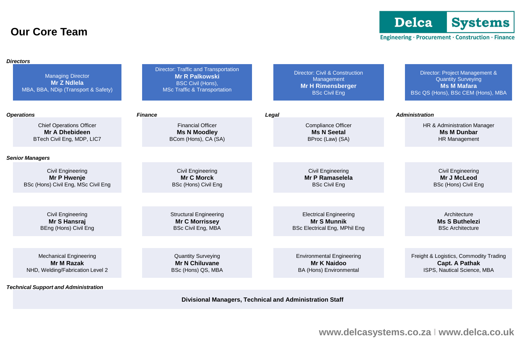## **Our Core Team**

Delca **Systems** 

### Engineering · Procurement · Construction · Finance

| <b>Directors</b>                                                                       |                                                                                                                                             |                                                                                                             |                                                                                                                         |
|----------------------------------------------------------------------------------------|---------------------------------------------------------------------------------------------------------------------------------------------|-------------------------------------------------------------------------------------------------------------|-------------------------------------------------------------------------------------------------------------------------|
| <b>Managing Director</b><br><b>Mr Z Ndlela</b><br>MBA, BBA, NDip (Transport & Safety)  | <b>Director: Traffic and Transportation</b><br><b>Mr R Palkowski</b><br><b>BSC Civil (Hons),</b><br><b>MSc Traffic &amp; Transportation</b> | <b>Director: Civil &amp; Construction</b><br>Management<br><b>Mr H Rimensberger</b><br><b>BSc Civil Eng</b> | Director: Project Management &<br><b>Quantity Surveying</b><br><b>Ms M Mafara</b><br>BSc QS (Hons), BSc CEM (Hons), MBA |
| <b>Operations</b>                                                                      | <b>Finance</b>                                                                                                                              | Legal                                                                                                       | <b>Administration</b>                                                                                                   |
| <b>Chief Operations Officer</b><br><b>Mr A Dhebideen</b><br>BTech Civil Eng, MDP, LIC7 | <b>Financial Officer</b><br><b>Ms N Moodley</b><br>BCom (Hons), CA (SA)                                                                     | <b>Compliance Officer</b><br><b>Ms N Seetal</b><br>BProc (Law) (SA)                                         | HR & Administration Manager<br><b>Ms M Dunbar</b><br><b>HR Management</b>                                               |
| <b>Senior Managers</b>                                                                 |                                                                                                                                             |                                                                                                             |                                                                                                                         |
| <b>Civil Engineering</b><br>Mr P Hwenje<br>BSc (Hons) Civil Eng, MSc Civil Eng         | Civil Engineering<br><b>Mr C Morck</b><br>BSc (Hons) Civil Eng                                                                              | Civil Engineering<br><b>Mr P Ramaselela</b><br><b>BSc Civil Eng</b>                                         | Civil Engineering<br>Mr J McLeod<br>BSc (Hons) Civil Eng                                                                |
|                                                                                        |                                                                                                                                             |                                                                                                             |                                                                                                                         |
| Civil Engineering<br>Mr S Hansrai<br>BEng (Hons) Civil Eng                             | <b>Structural Engineering</b><br><b>Mr C Morrissey</b><br><b>BSc Civil Eng, MBA</b>                                                         | <b>Electrical Engineering</b><br><b>Mr S Munnik</b><br><b>BSc Electrical Eng, MPhil Eng</b>                 | Architecture<br><b>Ms S Buthelezi</b><br><b>BSc Architecture</b>                                                        |
|                                                                                        |                                                                                                                                             |                                                                                                             |                                                                                                                         |
| <b>Mechanical Engineering</b><br><b>Mr M Razak</b><br>NHD, Welding/Fabrication Level 2 | <b>Quantity Surveying</b><br><b>Mr N Chiluvane</b><br>BSc (Hons) QS, MBA                                                                    | <b>Environmental Engineering</b><br><b>Mr K Naidoo</b><br>BA (Hons) Environmental                           | Freight & Logistics, Commodity Trading<br><b>Capt. A Pathak</b><br>ISPS, Nautical Science, MBA                          |
| <b>Technical Support and Administration</b>                                            |                                                                                                                                             |                                                                                                             |                                                                                                                         |
|                                                                                        |                                                                                                                                             |                                                                                                             |                                                                                                                         |

**Divisional Managers, Technical and Administration Staff**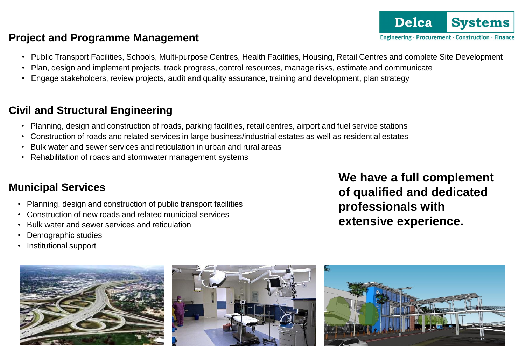# **Project and Programme Management**

- Public Transport Facilities, Schools, Multi-purpose Centres, Health Facilities, Housing, Retail Centres and complete Site Development
- Plan, design and implement projects, track progress, control resources, manage risks, estimate and communicate
- Engage stakeholders, review projects, audit and quality assurance, training and development, plan strategy

## **Civil and Structural Engineering**

- Planning, design and construction of roads, parking facilities, retail centres, airport and fuel service stations
- Construction of roads and related services in large business/industrial estates as well as residential estates
- Bulk water and sewer services and reticulation in urban and rural areas
- Rehabilitation of roads and stormwater management systems

# **Municipal Services**

- Planning, design and construction of public transport facilities
- Construction of new roads and related municipal services
- Bulk water and sewer services and reticulation
- Demographic studies
- Institutional support





**We have a full complement of qualified and dedicated professionals with extensive experience.**

**Delca** 

Engineering · Procurement · Construction · Finance

**Systems** 

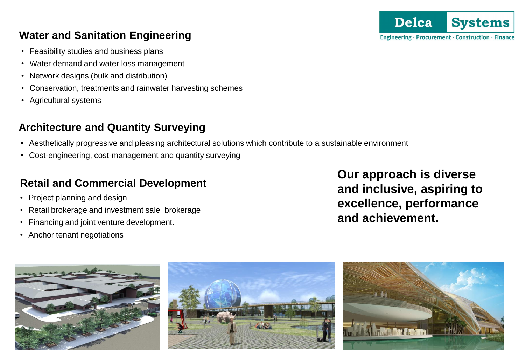# **Water and Sanitation Engineering**

- Feasibility studies and business plans
- Water demand and water loss management
- Network designs (bulk and distribution)
- Conservation, treatments and rainwater harvesting schemes
- Agricultural systems

# **Architecture and Quantity Surveying**

- Aesthetically progressive and pleasing architectural solutions which contribute to a sustainable environment
- Cost-engineering, cost-management and quantity surveying

# **Retail and Commercial Development**

- Project planning and design
- Retail brokerage and investment sale brokerage
- Financing and joint venture development.
- Anchor tenant negotiations

**Our approach is diverse and inclusive, aspiring to excellence, performance and achievement.**



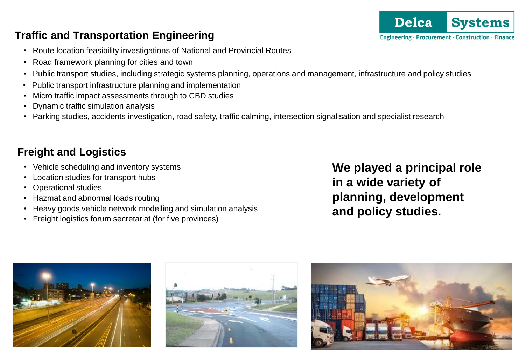## **Traffic and Transportation Engineering**

- Route location feasibility investigations of National and Provincial Routes
- Road framework planning for cities and town
- Public transport studies, including strategic systems planning, operations and management, infrastructure and policy studies
- Public transport infrastructure planning and implementation
- Micro traffic impact assessments through to CBD studies
- Dynamic traffic simulation analysis
- Parking studies, accidents investigation, road safety, traffic calming, intersection signalisation and specialist research

# **Freight and Logistics**

- Vehicle scheduling and inventory systems
- Location studies for transport hubs
- Operational studies
- Hazmat and abnormal loads routing
- Heavy goods vehicle network modelling and simulation analysis
- Freight logistics forum secretariat (for five provinces)

**We played a principal role in a wide variety of planning, development and policy studies.**







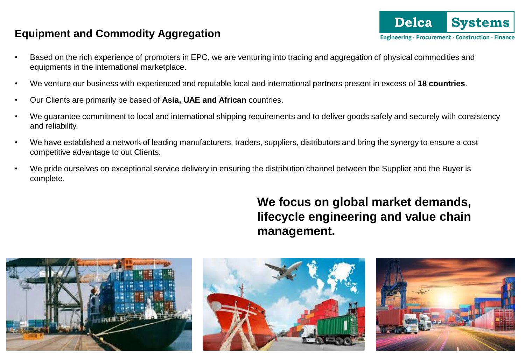## **Equipment and Commodity Aggregation**

- Based on the rich experience of promoters in EPC, we are venturing into trading and aggregation of physical commodities and equipments in the international marketplace.
- We venture our business with experienced and reputable local and international partners present in excess of **18 countries**.
- Our Clients are primarily be based of **Asia, UAE and African** countries.
- We guarantee commitment to local and international shipping requirements and to deliver goods safely and securely with consistency and reliability.
- We have established a network of leading manufacturers, traders, suppliers, distributors and bring the synergy to ensure a cost competitive advantage to out Clients.
- We pride ourselves on exceptional service delivery in ensuring the distribution channel between the Supplier and the Buyer is complete.

# **We focus on global market demands, lifecycle engineering and value chain management.**





**Delca** 

Engineering · Procurement · Construction · Finance

**Systems**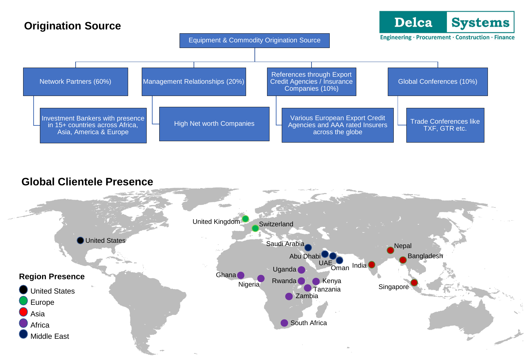## **Origination Source**



### **Global Clientele Presence**

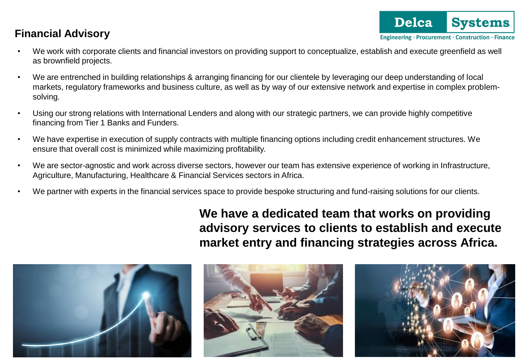# **Financial Advisory**

- **Delca Systems** Engineering · Procurement · Construction · Finance
- We work with corporate clients and financial investors on providing support to conceptualize, establish and execute greenfield as well as brownfield projects.
- We are entrenched in building relationships & arranging financing for our clientele by leveraging our deep understanding of local markets, regulatory frameworks and business culture, as well as by way of our extensive network and expertise in complex problemsolving.
- Using our strong relations with International Lenders and along with our strategic partners, we can provide highly competitive financing from Tier 1 Banks and Funders.
- We have expertise in execution of supply contracts with multiple financing options including credit enhancement structures. We ensure that overall cost is minimized while maximizing profitability.
- We are sector-agnostic and work across diverse sectors, however our team has extensive experience of working in Infrastructure, Agriculture, Manufacturing, Healthcare & Financial Services sectors in Africa.
- We partner with experts in the financial services space to provide bespoke structuring and fund-raising solutions for our clients.

**We have a dedicated team that works on providing advisory services to clients to establish and execute market entry and financing strategies across Africa.**





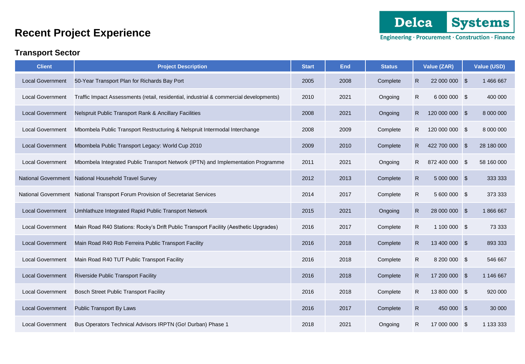

### **Transport Sector**

| <b>Client</b>              | <b>Project Description</b>                                                             |      | <b>End</b> | <b>Status</b> |              | Value (ZAR)    | <b>Value (USD)</b> |
|----------------------------|----------------------------------------------------------------------------------------|------|------------|---------------|--------------|----------------|--------------------|
| <b>Local Government</b>    | 50-Year Transport Plan for Richards Bay Port                                           | 2005 | 2008       | Complete      | $\mathsf{R}$ | 22 000 000 \$  | 1 466 667          |
| <b>Local Government</b>    | Traffic Impact Assessments (retail, residential, industrial & commercial developments) | 2010 | 2021       | Ongoing       | R            | 6 000 000 \$   | 400 000            |
| <b>Local Government</b>    | Nelspruit Public Transport Rank & Ancillary Facilities                                 | 2008 | 2021       | Ongoing       | $\mathsf{R}$ | 120 000 000 \$ | 8 000 000          |
| <b>Local Government</b>    | Mbombela Public Transport Restructuring & Nelspruit Intermodal Interchange             | 2008 | 2009       | Complete      | R            | 120 000 000 \$ | 8 000 000          |
| <b>Local Government</b>    | Mbombela Public Transport Legacy: World Cup 2010                                       | 2009 | 2010       | Complete      | R            | 422 700 000 \$ | 28 180 000         |
| <b>Local Government</b>    | Mbombela Integrated Public Transport Network (IPTN) and Implementation Programme       | 2011 | 2021       | Ongoing       | R.           | 872 400 000 \$ | 58 160 000         |
| <b>National Government</b> | National Household Travel Survey                                                       | 2012 | 2013       | Complete      | $\mathsf{R}$ | 5 000 000 \$   | 333 333            |
|                            | National Government National Transport Forum Provision of Secretariat Services         | 2014 | 2017       | Complete      | $\mathsf{R}$ | 5 600 000 \$   | 373 333            |
| <b>Local Government</b>    | Umhlathuze Integrated Rapid Public Transport Network                                   | 2015 | 2021       | Ongoing       | $\mathsf{R}$ | 28 000 000 \$  | 1866667            |
| <b>Local Government</b>    | Main Road R40 Stations: Rocky's Drift Public Transport Facility (Aesthetic Upgrades)   | 2016 | 2017       | Complete      | $\mathsf{R}$ | 1 100 000 \$   | 73 333             |
| <b>Local Government</b>    | Main Road R40 Rob Ferreira Public Transport Facility                                   | 2016 | 2018       | Complete      | $\mathsf{R}$ | 13 400 000 \$  | 893 333            |
| <b>Local Government</b>    | Main Road R40 TUT Public Transport Facility                                            | 2016 | 2018       | Complete      | $\mathsf{R}$ | 8 200 000 \$   | 546 667            |
| <b>Local Government</b>    | <b>Riverside Public Transport Facility</b>                                             | 2016 | 2018       | Complete      | $\mathsf{R}$ | 17 200 000 \$  | 1 146 667          |
| <b>Local Government</b>    | <b>Bosch Street Public Transport Facility</b>                                          | 2016 | 2018       | Complete      | R            | 13 800 000 \$  | 920 000            |
| <b>Local Government</b>    | Public Transport By Laws                                                               | 2016 | 2017       | Complete      | $\mathsf{R}$ | 450 000 \$     | 30 000             |
| <b>Local Government</b>    | Bus Operators Technical Advisors IRPTN (Go! Durban) Phase 1                            | 2018 | 2021       | Ongoing       | R.           | 17 000 000 \$  | 1 133 333          |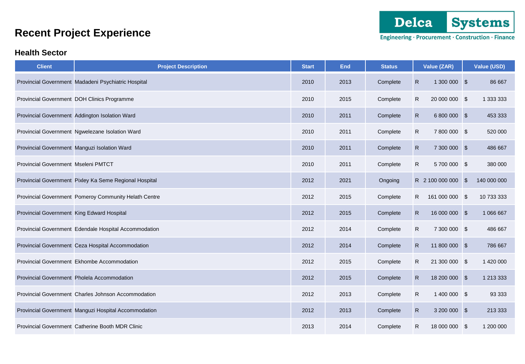

Engineering · Procurement · Construction · Finance

### **Health Sector**

| <b>Client</b>                              | <b>Project Description</b>                             | <b>Start</b> | <b>End</b> | <b>Status</b> | Value (ZAR)                   | Value (USD) |
|--------------------------------------------|--------------------------------------------------------|--------------|------------|---------------|-------------------------------|-------------|
|                                            | Provincial Government Madadeni Psychiatric Hospital    | 2010         | 2013       | Complete      | $\mathsf{R}$<br>1 300 000 \$  | 86 667      |
|                                            | Provincial Government DOH Clinics Programme            | 2010         | 2015       | Complete      | $\mathsf{R}$<br>20 000 000 \$ | 1 333 333   |
|                                            | Provincial Government Addington Isolation Ward         | 2010         | 2011       | Complete      | $\mathsf{R}$<br>6 800 000 \$  | 453 333     |
|                                            | Provincial Government Ngwelezane Isolation Ward        | 2010         | 2011       | Complete      | $\mathsf{R}$<br>7 800 000 \$  | 520 000     |
|                                            | Provincial Government Manguzi Isolation Ward           | 2010         | 2011       | Complete      | $\mathsf{R}$<br>7 300 000 \$  | 486 667     |
| Provincial Government Mseleni PMTCT        |                                                        | 2010         | 2011       | Complete      | $\mathsf{R}$<br>5700000 \$    | 380 000     |
|                                            | Provincial Government Pixley Ka Seme Regional Hospital | 2012         | 2021       | Ongoing       | R 2 100 000 000 \$            | 140 000 000 |
|                                            | Provincial Government Pomeroy Community Helath Centre  | 2012         | 2015       | Complete      | R<br>161 000 000 \$           | 10 733 333  |
| Provincial Government King Edward Hospital |                                                        | 2012         | 2015       | Complete      | $\mathsf{R}$<br>16 000 000 \$ | 1 066 667   |
|                                            | Provincial Government Edendale Hospital Accommodation  | 2012         | 2014       | Complete      | $\mathsf{R}$<br>7 300 000 \$  | 486 667     |
|                                            | Provincial Government Ceza Hospital Accommodation      | 2012         | 2014       | Complete      | $\mathsf{R}$<br>11 800 000 \$ | 786 667     |
|                                            | Provincial Government Ekhombe Accommodation            | 2012         | 2015       | Complete      | $\mathsf{R}$<br>21 300 000 \$ | 1 420 000   |
|                                            | Provincial Government Pholela Accommodation            | 2012         | 2015       | Complete      | $\mathsf{R}$<br>18 200 000 \$ | 1 213 333   |
|                                            | Provincial Government Charles Johnson Accommodation    | 2012         | 2013       | Complete      | $\mathsf{R}$<br>1 400 000 \$  | 93 333      |
|                                            | Provincial Government Manguzi Hospital Accommodation   | 2012         | 2013       | Complete      | $\mathsf{R}$<br>3 200 000 \$  | 213 333     |
|                                            | Provincial Government Catherine Booth MDR Clinic       | 2013         | 2014       | Complete      | $\mathsf{R}$<br>18 000 000 \$ | 1 200 000   |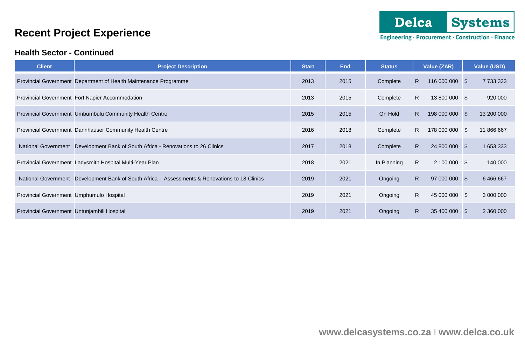### **Health Sector - Continued**

| <b>Client</b>                               | <b>Project Description</b>                                                 | <b>Start</b> | <b>End</b> | <b>Status</b> | Value (ZAR)          | Value (USD)   |
|---------------------------------------------|----------------------------------------------------------------------------|--------------|------------|---------------|----------------------|---------------|
|                                             | Provincial Government Department of Health Maintenance Programme           | 2013         | 2015       | Complete      | R.<br>116 000 000 \$ | 7 733 333     |
|                                             | Provincial Government Fort Napier Accommodation                            | 2013         | 2015       | Complete      | R.<br>13 800 000 \$  | 920 000       |
|                                             | Provincial Government Umbumbulu Community Health Centre                    | 2015         | 2015       | On Hold       | R.<br>198 000 000 \$ | 13 200 000    |
|                                             | Provincial Government Dannhauser Community Health Centre                   | 2016         | 2018       | Complete      | R.<br>178 000 000 \$ | 11 866 667    |
| <b>National Government</b>                  | Development Bank of South Africa - Renovations to 26 Clinics               | 2017         | 2018       | Complete      | R.<br>24 800 000 \$  | 1 653 333     |
|                                             | Provincial Government Ladysmith Hospital Multi-Year Plan                   | 2018         | 2021       | In Planning   | R.<br>2 100 000 \$   | 140 000       |
| <b>National Government</b>                  | Development Bank of South Africa - Assessments & Renovations to 18 Clinics | 2019         | 2021       | Ongoing       | R.<br>97 000 000 \$  | 6 4 6 6 6 6 7 |
| Provincial Government Umphumulo Hospital    |                                                                            | 2019         | 2021       | Ongoing       | R<br>45 000 000 \$   | 3 000 000     |
| Provincial Government Untunjambili Hospital |                                                                            | 2019         | 2021       | Ongoing       | R.<br>35 400 000 \$  | 2 360 000     |

Engineering · Procurement · Construction · Finance

**Systems** 

Delca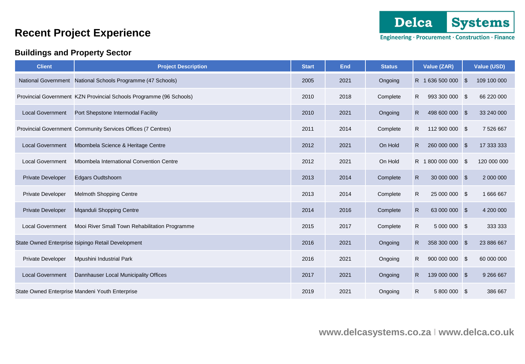### **Buildings and Property Sector**

Engineering · Procurement · Construction · Finance

| <b>Client</b>            | <b>Project Description</b>                                          | <b>Start</b> | <b>End</b> | <b>Status</b> | Value (ZAR)                    | Value (USD)       |
|--------------------------|---------------------------------------------------------------------|--------------|------------|---------------|--------------------------------|-------------------|
|                          | National Government National Schools Programme (47 Schools)         | 2005         | 2021       | Ongoing       | R 1636 500 000                 | \$<br>109 100 000 |
|                          | Provincial Government KZN Provincial Schools Programme (96 Schools) | 2010         | 2018       | Complete      | R<br>993 300 000 \$            | 66 220 000        |
| <b>Local Government</b>  | Port Shepstone Intermodal Facility                                  | 2010         | 2021       | Ongoing       | $\mathsf{R}$<br>498 600 000 \$ | 33 240 000        |
|                          | Provincial Government Community Services Offices (7 Centres)        | 2011         | 2014       | Complete      | R.<br>112 900 000 \$           | 7 526 667         |
| <b>Local Government</b>  | Mbombela Science & Heritage Centre                                  | 2012         | 2021       | On Hold       | R.<br>260 000 000 \$           | 17 333 333        |
| <b>Local Government</b>  | Mbombela International Convention Centre                            | 2012         | 2021       | On Hold       | R 1800 000 000 \$              | 120 000 000       |
| <b>Private Developer</b> | <b>Edgars Oudtshoorn</b>                                            | 2013         | 2014       | Complete      | $\mathsf{R}$<br>30 000 000 \$  | 2 000 000         |
| <b>Private Developer</b> | Melmoth Shopping Centre                                             | 2013         | 2014       | Complete      | $\mathsf{R}$<br>25 000 000 \$  | 1 666 667         |
| <b>Private Developer</b> | Mqanduli Shopping Centre                                            | 2014         | 2016       | Complete      | $\mathsf{R}$<br>63 000 000 \$  | 4 200 000         |
| <b>Local Government</b>  | Mooi River Small Town Rehabilitation Programme                      | 2015         | 2017       | Complete      | $\mathsf{R}$<br>5 000 000 \$   | 333 333           |
|                          | State Owned Enterprise Isipingo Retail Development                  | 2016         | 2021       | Ongoing       | $\mathsf{R}$<br>358 300 000 \$ | 23 886 667        |
| <b>Private Developer</b> | Mpushini Industrial Park                                            | 2016         | 2021       | Ongoing       | $\mathsf{R}$<br>900 000 000 \$ | 60 000 000        |
| <b>Local Government</b>  | Dannhauser Local Municipality Offices                               | 2017         | 2021       | Ongoing       | $\mathsf{R}$<br>139 000 000 \$ | 9 266 667         |
|                          | State Owned Enterprise Mandeni Youth Enterprise                     | 2019         | 2021       | Ongoing       | $\mathsf{R}$<br>5 800 000 \$   | 386 667           |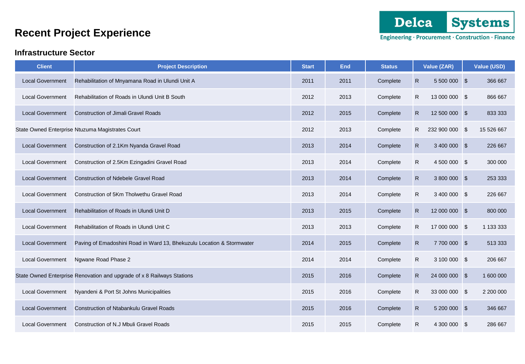### **Infrastructure Sector**

| <b>Client</b>           | <b>Project Description</b>                                             | <b>Start</b> | <b>End</b> | <b>Status</b> | Value (ZAR)                   | <b>Value (USD)</b> |
|-------------------------|------------------------------------------------------------------------|--------------|------------|---------------|-------------------------------|--------------------|
| <b>Local Government</b> | Rehabilitation of Mnyamana Road in Ulundi Unit A                       | 2011         | 2011       | Complete      | $\mathsf{R}$<br>5 500 000 \$  | 366 667            |
| <b>Local Government</b> | Rehabilitation of Roads in Ulundi Unit B South                         | 2012         | 2013       | Complete      | $\mathsf{R}$<br>13 000 000 \$ | 866 667            |
| <b>Local Government</b> | <b>Construction of Jimali Gravel Roads</b>                             | 2012         | 2015       | Complete      | $\mathsf{R}$<br>12 500 000 \$ | 833 333            |
|                         | State Owned Enterprise Ntuzuma Magistrates Court                       | 2012         | 2013       | Complete      | R<br>232 900 000 \$           | 15 526 667         |
| <b>Local Government</b> | Construction of 2.1Km Nyanda Gravel Road                               | 2013         | 2014       | Complete      | $\mathsf{R}$<br>3 400 000 \$  | 226 667            |
| <b>Local Government</b> | Construction of 2.5Km Ezingadini Gravel Road                           | 2013         | 2014       | Complete      | $\mathsf{R}$<br>4 500 000 \$  | 300 000            |
| <b>Local Government</b> | <b>Construction of Ndebele Gravel Road</b>                             | 2013         | 2014       | Complete      | $\mathsf{R}$<br>3 800 000 \$  | 253 333            |
| <b>Local Government</b> | Construction of 5Km Tholwethu Gravel Road                              | 2013         | 2014       | Complete      | $\mathsf{R}$<br>3 400 000 \$  | 226 667            |
| <b>Local Government</b> | Rehabilitation of Roads in Ulundi Unit D                               | 2013         | 2015       | Complete      | $\mathsf{R}$<br>12 000 000 \$ | 800 000            |
| <b>Local Government</b> | Rehabilitation of Roads in Ulundi Unit C                               | 2013         | 2013       | Complete      | $\mathsf{R}$<br>17 000 000 \$ | 1 133 333          |
| <b>Local Government</b> | Paving of Emadoshini Road in Ward 13, Bhekuzulu Location & Stormwater  | 2014         | 2015       | Complete      | $\mathsf{R}$<br>7 700 000 \$  | 513 333            |
| <b>Local Government</b> | Ngwane Road Phase 2                                                    | 2014         | 2014       | Complete      | $\mathsf{R}$<br>3 100 000 \$  | 206 667            |
|                         | State Owned Enterprise Renovation and upgrade of x 8 Railways Stations | 2015         | 2016       | Complete      | $\mathsf{R}$<br>24 000 000 \$ | 1 600 000          |
| <b>Local Government</b> | Nyandeni & Port St Johns Municipalities                                | 2015         | 2016       | Complete      | ${\sf R}$<br>33 000 000 \$    | 2 200 000          |
| <b>Local Government</b> | <b>Construction of Ntabankulu Gravel Roads</b>                         | 2015         | 2016       | Complete      | $\mathsf{R}$<br>5 200 000 \$  | 346 667            |
| <b>Local Government</b> | Construction of N.J Mbuli Gravel Roads                                 | 2015         | 2015       | Complete      | $\mathsf{R}$<br>4 300 000 \$  | 286 667            |

Delca **Systems** 

Engineering · Procurement · Construction · Finance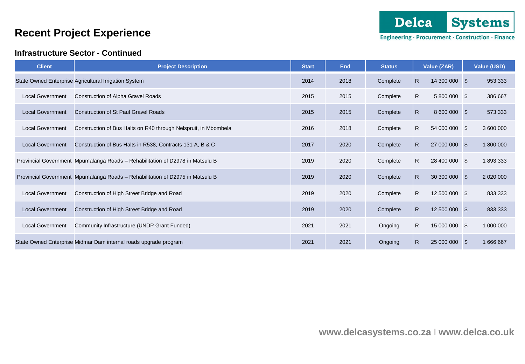### **Infrastructure Sector - Continued**

| <b>Client</b>           | <b>Project Description</b>                                                    | <b>Start</b> | <b>End</b> | <b>Status</b> |              | Value (ZAR)   |          | Value (USD) |
|-------------------------|-------------------------------------------------------------------------------|--------------|------------|---------------|--------------|---------------|----------|-------------|
|                         | State Owned Enterprise Agricultural Irrigation System                         | 2014         | 2018       | Complete      | R.           | 14 300 000 \$ |          | 953 333     |
| <b>Local Government</b> | Construction of Alpha Gravel Roads                                            | 2015         | 2015       | Complete      | R.           | 5 800 000 \$  |          | 386 667     |
| <b>Local Government</b> | <b>Construction of St Paul Gravel Roads</b>                                   | 2015         | 2015       | Complete      | $\mathsf{R}$ | 8 600 000 \$  |          | 573 333     |
| <b>Local Government</b> | Construction of Bus Halts on R40 through Nelspruit, in Mbombela               | 2016         | 2018       | Complete      | R.           | 54 000 000 \$ |          | 3 600 000   |
| <b>Local Government</b> | Construction of Bus Halts in R538, Contracts 131 A, B & C                     | 2017         | 2020       | Complete      | R.           | 27 000 000 \$ |          | 1 800 000   |
|                         | Provincial Government Mpumalanga Roads - Rehabilitation of D2978 in Matsulu B | 2019         | 2020       | Complete      | R            | 28 400 000 \$ |          | 1893333     |
|                         | Provincial Government Mpumalanga Roads - Rehabilitation of D2975 in Matsulu B | 2019         | 2020       | Complete      | R.           | 30 300 000 \$ |          |             |
| <b>Local Government</b> | Construction of High Street Bridge and Road                                   | 2019         | 2020       | Complete      | R            | 12 500 000 \$ |          | 833 333     |
| <b>Local Government</b> | Construction of High Street Bridge and Road                                   | 2019         | 2020       | Complete      | $\mathsf{R}$ | 12 500 000 \$ |          | 833 333     |
| <b>Local Government</b> | Community Infrastructure (UNDP Grant Funded)                                  | 2021         | 2021       | Ongoing       | R            | 15 000 000 \$ |          | 1 000 000   |
|                         | State Owned Enterprise Midmar Dam internal roads upgrade program              | 2021         | 2021       | Ongoing       | R.           | 25 000 000    | <b>S</b> | 1 666 667   |

Delca

Engineering · Procurement · Construction · Finance

**Systems**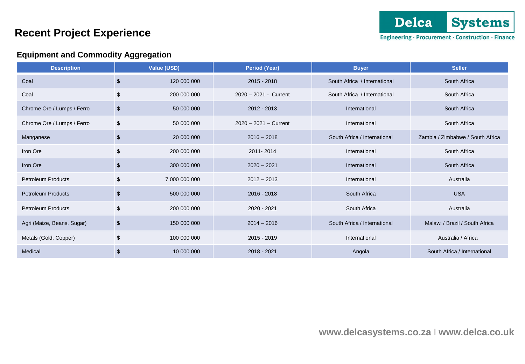### **Equipment and Commodity Aggregation**

| <b>Description</b>         |                           | Value (USD)   | <b>Period (Year)</b>    | <b>Buyer</b>                 | <b>Seller</b>                    |
|----------------------------|---------------------------|---------------|-------------------------|------------------------------|----------------------------------|
| Coal                       | \$                        | 120 000 000   | $2015 - 2018$           | South Africa / International | South Africa                     |
| Coal                       | \$                        | 200 000 000   | 2020 - 2021 - Current   | South Africa / International | South Africa                     |
| Chrome Ore / Lumps / Ferro | $\sqrt[6]{3}$             | 50 000 000    | 2012 - 2013             | International                | South Africa                     |
| Chrome Ore / Lumps / Ferro | \$                        | 50 000 000    | $2020 - 2021 -$ Current | International                | South Africa                     |
| Manganese                  | \$                        | 20 000 000    | $2016 - 2018$           | South Africa / International | Zambia / Zimbabwe / South Africa |
| Iron Ore                   | \$                        | 200 000 000   | 2011-2014               | International                | South Africa                     |
| Iron Ore                   | \$                        | 300 000 000   | $2020 - 2021$           | International                | South Africa                     |
| <b>Petroleum Products</b>  | \$                        | 7 000 000 000 | $2012 - 2013$           | International                | Australia                        |
| <b>Petroleum Products</b>  | $\boldsymbol{\mathsf{S}}$ | 500 000 000   | $2016 - 2018$           | South Africa                 | <b>USA</b>                       |
| <b>Petroleum Products</b>  | \$                        | 200 000 000   | 2020 - 2021             | South Africa                 | Australia                        |
| Agri (Maize, Beans, Sugar) | $\sqrt{2}$                | 150 000 000   | $2014 - 2016$           | South Africa / International | Malawi / Brazil / South Africa   |
| Metals (Gold, Copper)      | \$                        | 100 000 000   | $2015 - 2019$           | International                | Australia / Africa               |
| Medical                    | \$                        | 10 000 000    | 2018 - 2021             | Angola                       | South Africa / International     |